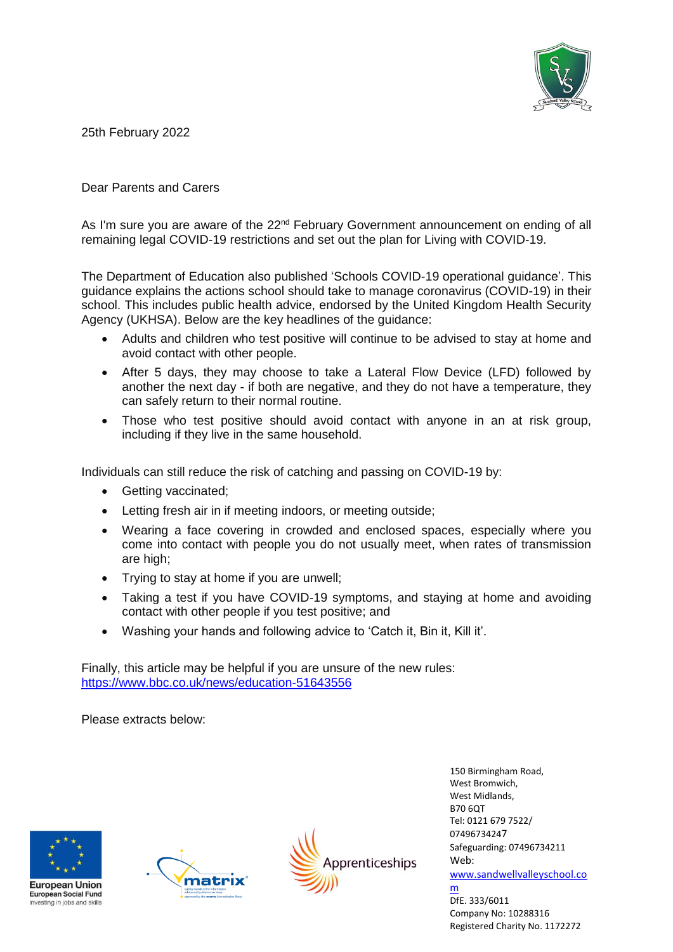

25th February 2022

Dear Parents and Carers

As I'm sure you are aware of the 22<sup>nd</sup> February Government announcement on ending of all remaining legal COVID-19 restrictions and set out the plan for [Living with COVID-19.](https://www.gov.uk/government/publications/covid-19-response-living-with-covid-19/covid-19-response-living-with-covid-19)

The Department of Education also published 'Schools COVID-19 operational guidance'. This guidance explains the actions school should take to manage coronavirus (COVID-19) in their school. This includes public health advice, endorsed by the United Kingdom Health Security Agency (UKHSA). Below are the key headlines of the guidance:

- Adults and children who test positive will continue to be advised to stay at home and avoid contact with other people.
- After 5 days, they may choose to take a Lateral Flow Device (LFD) followed by another the next day - if both are negative, and they do not have a temperature, they can safely return to their normal routine.
- Those who test positive should avoid contact with anyone in an at risk group, including if they live in the same household.

Individuals can still reduce the risk of catching and passing on COVID-19 by:

- Getting vaccinated;
- Letting fresh air in if meeting indoors, or meeting outside;
- Wearing a face covering in crowded and enclosed spaces, especially where you come into contact with people you do not usually meet, when rates of transmission are high;
- Trying to stay at home if you are unwell;
- Taking a test if you have COVID-19 symptoms, and staying at home and avoiding contact with other people if you test positive; and
- Washing your hands and following advice to 'Catch it, Bin it, Kill it'.

Finally, this article may be helpful if you are unsure of the new rules: <https://www.bbc.co.uk/news/education-51643556>

Please extracts below:







150 Birmingham Road, West Bromwich, West Midlands, B70 6QT Tel: 0121 679 7522/ 07496734247 Safeguarding: 07496734211 Web: [www.sandwellvalleyschool.co](http://www.sandwellvalleyschool.com/) [m](http://www.sandwellvalleyschool.com/) DfE. 333/6011 Company No: 10288316

Registered Charity No. 1172272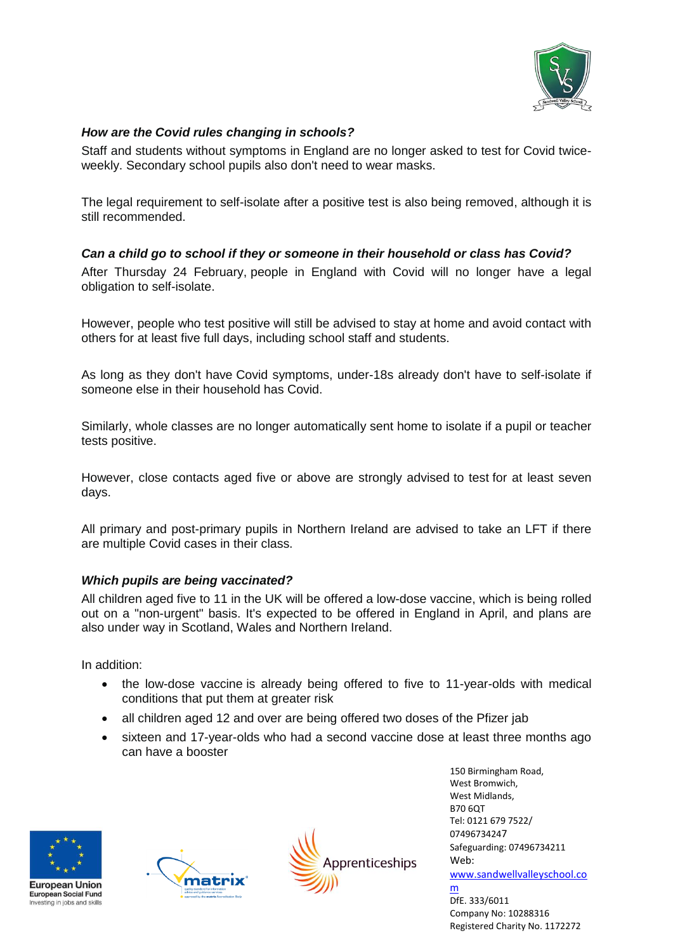

## *How are the Covid rules changing in schools?*

Staff and students without symptoms in England are [no longer asked to test for Covid twice](https://www.bbc.co.uk/news/health-51943612)[weekly.](https://www.bbc.co.uk/news/health-51943612) Secondary school pupils also [don't need to wear masks.](https://www.bbc.co.uk/news/health-51205344)

The [legal requirement to self-isolate after a positive test is also being removed,](https://www.bbc.co.uk/news/uk-60474996) although it is still recommended.

## *Can a child go to school if they or someone in their household or class has Covid?*

After Thursday 24 February, [people in England with Covid will no longer have a legal](https://www.bbc.co.uk/news/explainers-54239922)  [obligation to self-isolate.](https://www.bbc.co.uk/news/explainers-54239922)

However, people who test positive will still be advised to stay at home and avoid contact with others for at least five full days, including school staff and students.

As long as they don't have [Covid symptoms,](https://www.bbc.co.uk/news/health-54145299) under-18s already don't have to self-isolate if someone else in their household has Covid.

Similarly, whole classes are no longer automatically sent home to isolate if a pupil or teacher tests positive.

However, close contacts aged five or above are strongly advised [to test](https://www.bbc.co.uk/news/health-51943612) for at least seven days.

All primary and post-primary pupils in Northern Ireland are advised to take an LFT if there are multiple Covid cases in their class.

## *Which pupils are being vaccinated?*

All [children aged five to 11 in the UK](https://www.bbc.co.uk/news/uk-60406155) will be offered a low-dose vaccine, which is being rolled out on a "non-urgent" basis. It's expected to be offered in England in April, and plans are also under way in Scotland, Wales and Northern Ireland.

In addition:

- the low-dose vaccine [is already being offered to five to 11-year-olds with medical](https://www.bbc.co.uk/news/health-60173823)  [conditions](https://www.bbc.co.uk/news/health-60173823) that put them at greater risk
- all children aged 12 and over [are being offered two doses of the Pfizer jab](https://www.bbc.co.uk/news/health-57888429)
- sixteen and 17-year-olds who had a second vaccine dose at least three months ago can have a booster







150 Birmingham Road, West Bromwich, West Midlands, B70 6QT Tel: 0121 679 7522/ 07496734247 Safeguarding: 07496734211 Web: [www.sandwellvalleyschool.co](http://www.sandwellvalleyschool.com/) [m](http://www.sandwellvalleyschool.com/)

DfE. 333/6011 Company No: 10288316 Registered Charity No. 1172272